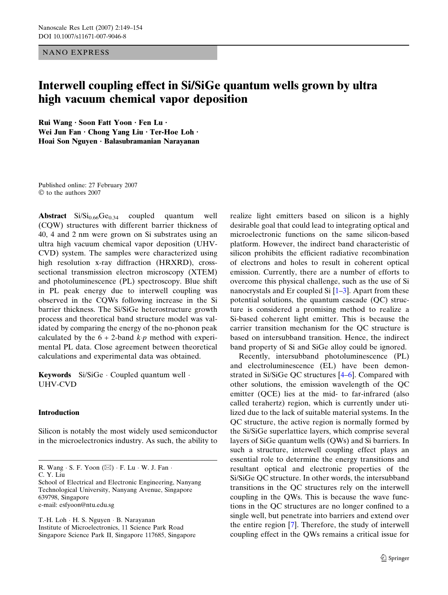NANO EXPRESS

# Interwell coupling effect in Si/SiGe quantum wells grown by ultra high vacuum chemical vapor deposition

Rui Wang · Soon Fatt Yoon · Fen Lu · Wei Jun Fan · Chong Yang Liu · Ter-Hoe Loh · Hoai Son Nguyen · Balasubramanian Narayanan

Published online: 27 February 2007  $©$  to the authors 2007

**Abstract**  $Si/Si_{0.66}Ge_{0.34}$  coupled quantum well (CQW) structures with different barrier thickness of 40, 4 and 2 nm were grown on Si substrates using an ultra high vacuum chemical vapor deposition (UHV-CVD) system. The samples were characterized using high resolution x-ray diffraction (HRXRD), crosssectional transmission electron microscopy (XTEM) and photoluminescence (PL) spectroscopy. Blue shift in PL peak energy due to interwell coupling was observed in the CQWs following increase in the Si barrier thickness. The Si/SiGe heterostructure growth process and theoretical band structure model was validated by comparing the energy of the no-phonon peak calculated by the  $6 + 2$ -band  $k \cdot p$  method with experimental PL data. Close agreement between theoretical calculations and experimental data was obtained.

**Keywords** Si/SiGe  $\cdot$  Coupled quantum well  $\cdot$ UHV-CVD

## Introduction

Silicon is notably the most widely used semiconductor in the microelectronics industry. As such, the ability to

T.-H. Loh · H. S. Nguyen · B. Narayanan Institute of Microelectronics, 11 Science Park Road Singapore Science Park II, Singapore 117685, Singapore realize light emitters based on silicon is a highly desirable goal that could lead to integrating optical and microelectronic functions on the same silicon-based platform. However, the indirect band characteristic of silicon prohibits the efficient radiative recombination of electrons and holes to result in coherent optical emission. Currently, there are a number of efforts to overcome this physical challenge, such as the use of Si nanocrystals and Er coupled Si  $[1-3]$ . Apart from these potential solutions, the quantum cascade (QC) structure is considered a promising method to realize a Si-based coherent light emitter. This is because the carrier transition mechanism for the QC structure is based on intersubband transition. Hence, the indirect band property of Si and SiGe alloy could be ignored.

Recently, intersubband photoluminescence (PL) and electroluminescence (EL) have been demonstrated in Si/SiGe QC structures [[4–6\]](#page-5-0). Compared with other solutions, the emission wavelength of the QC emitter (QCE) lies at the mid- to far-infrared (also called terahertz) region, which is currently under utilized due to the lack of suitable material systems. In the QC structure, the active region is normally formed by the Si/SiGe superlattice layers, which comprise several layers of SiGe quantum wells (QWs) and Si barriers. In such a structure, interwell coupling effect plays an essential role to determine the energy transitions and resultant optical and electronic properties of the Si/SiGe QC structure. In other words, the intersubband transitions in the QC structures rely on the interwell coupling in the QWs. This is because the wave functions in the QC structures are no longer confined to a single well, but penetrate into barriers and extend over the entire region [\[7](#page-5-0)]. Therefore, the study of interwell coupling effect in the QWs remains a critical issue for

R. Wang  $\cdot$  S. F. Yoon  $(\boxtimes) \cdot$  F. Lu  $\cdot$  W. J. Fan  $\cdot$ C. Y. Liu

School of Electrical and Electronic Engineering, Nanyang Technological University, Nanyang Avenue, Singapore 639798, Singapore e-mail: esfyoon@ntu.edu.sg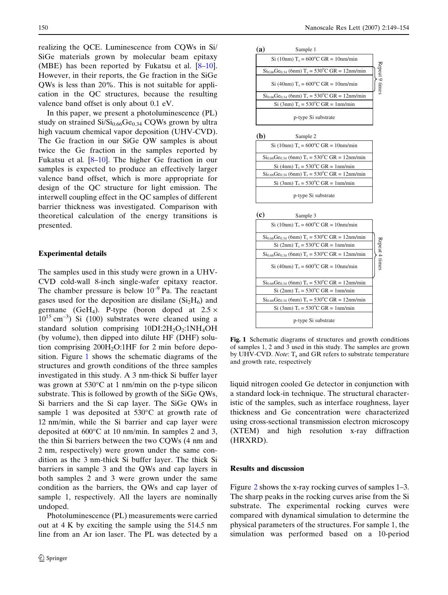realizing the QCE. Luminescence from CQWs in Si/ SiGe materials grown by molecular beam epitaxy (MBE) has been reported by Fukatsu et al.  $[8-10]$ . However, in their reports, the Ge fraction in the SiGe QWs is less than 20%. This is not suitable for application in the QC structures, because the resulting valence band offset is only about 0.1 eV.

In this paper, we present a photoluminescence (PL) study on strained  $Si/Si_{0.66}Ge_{0.34}$  CQWs grown by ultra high vacuum chemical vapor deposition (UHV-CVD). The Ge fraction in our SiGe QW samples is about twice the Ge fraction in the samples reported by Fukatsu et al. [\[8–10](#page-5-0)]. The higher Ge fraction in our samples is expected to produce an effectively larger valence band offset, which is more appropriate for design of the QC structure for light emission. The interwell coupling effect in the QC samples of different barrier thickness was investigated. Comparison with theoretical calculation of the energy transitions is presented.

# Experimental details

The samples used in this study were grown in a UHV-CVD cold-wall 8-inch single-wafer epitaxy reactor. The chamber pressure is below  $10^{-9}$  Pa. The reactant gases used for the deposition are disilane  $(Si<sub>2</sub>H<sub>6</sub>)$  and germane (GeH<sub>4</sub>). P-type (boron doped at  $2.5 \times$  $10^{15}$  cm<sup>-3</sup>) Si (100) substrates were cleaned using a standard solution comprising  $10DI:2H<sub>2</sub>O<sub>2</sub>:1NH<sub>4</sub>OH$ (by volume), then dipped into dilute HF (DHF) solution comprising  $200H<sub>2</sub>O:1HF$  for 2 min before deposition. Figure 1 shows the schematic diagrams of the structures and growth conditions of the three samples investigated in this study. A 3 nm-thick Si buffer layer was grown at  $530^{\circ}$ C at 1 nm/min on the p-type silicon substrate. This is followed by growth of the SiGe QWs, Si barriers and the Si cap layer. The SiGe QWs in sample 1 was deposited at  $530^{\circ}$ C at growth rate of 12 nm/min, while the Si barrier and cap layer were deposited at  $600^{\circ}$ C at 10 nm/min. In samples 2 and 3, the thin Si barriers between the two CQWs (4 nm and 2 nm, respectively) were grown under the same condition as the 3 nm-thick Si buffer layer. The thick Si barriers in sample 3 and the QWs and cap layers in both samples 2 and 3 were grown under the same condition as the barriers, the QWs and cap layer of sample 1, respectively. All the layers are nominally undoped.

Photoluminescence (PL) measurements were carried out at 4 K by exciting the sample using the 514.5 nm line from an Ar ion laser. The PL was detected by a



Fig. 1 Schematic diagrams of structures and growth conditions of samples 1, 2 and 3 used in this study. The samples are grown by UHV-CVD. Note:  $T_s$  and GR refers to substrate temperature and growth rate, respectively

liquid nitrogen cooled Ge detector in conjunction with a standard lock-in technique. The structural characteristic of the samples, such as interface roughness, layer thickness and Ge concentration were characterized using cross-sectional transmission electron microscopy (XTEM) and high resolution x-ray diffraction (HRXRD).

#### Results and discussion

Figure [2](#page-3-0) shows the x-ray rocking curves of samples 1–3. The sharp peaks in the rocking curves arise from the Si substrate. The experimental rocking curves were compared with dynamical simulation to determine the physical parameters of the structures. For sample 1, the simulation was performed based on a 10-period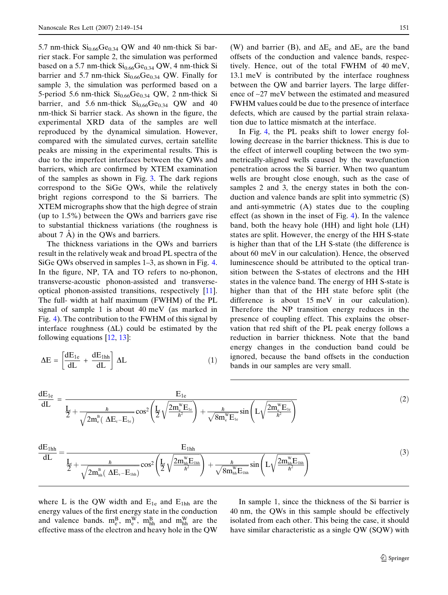5.7 nm-thick  $Si<sub>0.66</sub>Ge<sub>0.34</sub>$  QW and 40 nm-thick Si barrier stack. For sample 2, the simulation was performed based on a 5.7 nm-thick  $Si<sub>0.66</sub>Ge<sub>0.34</sub>$  QW, 4 nm-thick Si barrier and 5.7 nm-thick  $Si<sub>0.66</sub>Ge<sub>0.34</sub>$  QW. Finally for sample 3, the simulation was performed based on a 5-period 5.6 nm-thick  $Si<sub>0.66</sub>Ge<sub>0.34</sub>$  QW, 2 nm-thick Si barrier, and 5.6 nm-thick  $Si<sub>0.66</sub>Ge<sub>0.34</sub>$  QW and 40 nm-thick Si barrier stack. As shown in the figure, the experimental XRD data of the samples are well reproduced by the dynamical simulation. However, compared with the simulated curves, certain satellite peaks are missing in the experimental results. This is due to the imperfect interfaces between the QWs and barriers, which are confirmed by XTEM examination of the samples as shown in Fig. [3.](#page-3-0) The dark regions correspond to the SiGe QWs, while the relatively bright regions correspond to the Si barriers. The XTEM micrographs show that the high degree of strain (up to 1.5%) between the QWs and barriers gave rise to substantial thickness variations (the roughness is about  $7 \text{ Å}$ ) in the QWs and barriers.

The thickness variations in the QWs and barriers result in the relatively weak and broad PL spectra of the SiGe QWs observed in samples 1–3, as shown in Fig. [4.](#page-4-0) In the figure, NP, TA and TO refers to no-phonon, transverse-acoustic phonon-assisted and transverseoptical phonon-assisted transitions, respectively [\[11](#page-5-0)]. The full- width at half maximum (FWHM) of the PL signal of sample 1 is about 40 meV (as marked in Fig. [4\)](#page-4-0). The contribution to the FWHM of this signal by interface roughness  $(\Delta L)$  could be estimated by the following equations [[12,](#page-5-0) [13](#page-5-0)]:

$$
\Delta E = \left[\frac{dE_{1e}}{dL} + \frac{dE_{1hh}}{dL}\right] \Delta L \tag{1}
$$

(W) and barrier (B), and  $\Delta E_c$  and  $\Delta E_v$  are the band offsets of the conduction and valence bands, respectively. Hence, out of the total FWHM of 40 meV, 13.1 meV is contributed by the interface roughness between the QW and barrier layers. The large difference of ~27 meV between the estimated and measured FWHM values could be due to the presence of interface defects, which are caused by the partial strain relaxation due to lattice mismatch at the interface.

In Fig. [4](#page-4-0), the PL peaks shift to lower energy following decrease in the barrier thickness. This is due to the effect of interwell coupling between the two symmetrically-aligned wells caused by the wavefunction penetration across the Si barrier. When two quantum wells are brought close enough, such as the case of samples 2 and 3, the energy states in both the conduction and valence bands are split into symmetric (S) and anti-symmetric (A) states due to the coupling effect (as shown in the inset of Fig. [4](#page-4-0)). In the valence band, both the heavy hole (HH) and light hole (LH) states are split. However, the energy of the HH S-state is higher than that of the LH S-state (the difference is about 60 meV in our calculation). Hence, the observed luminescence should be attributed to the optical transition between the S-states of electrons and the HH states in the valence band. The energy of HH S-state is higher than that of the HH state before split (the difference is about 15 meV in our calculation). Therefore the NP transition energy reduces in the presence of coupling effect. This explains the observation that red shift of the PL peak energy follows a reduction in barrier thickness. Note that the band energy changes in the conduction band could be ignored, because the band offsets in the conduction bands in our samples are very small.

$$
\frac{dE_{1e}}{dL} = \frac{E_{1e}}{\frac{L}{2} + \frac{\hbar}{\sqrt{2m_e^B(\ \Delta E_e - E_{1e})}} \cos^2 \left(\frac{L}{2} \sqrt{\frac{2m_e^W E_{1e}}{\hbar^2}}\right) + \frac{\hbar}{\sqrt{8m_e^W E_{1e}}} \sin \left(L \sqrt{\frac{2m_e^W E_{1e}}{\hbar^2}}\right)}
$$
(2)

$$
\frac{dE_{1hh}}{dL} = \frac{E_{1hh}}{\frac{L}{2} + \frac{\hbar}{\sqrt{2m_{hh}^{B}(\Delta E_{v} - E_{1hh})}}\cos^{2}\left(\frac{L}{2}\sqrt{\frac{2m_{hh}^{W}E_{1hh}}{\hbar^{2}}}\right) + \frac{\hbar}{\sqrt{8m_{hh}^{W}E_{1hh}}}\sin\left(L\sqrt{\frac{2m_{hh}^{W}E_{1hh}}{\hbar^{2}}}\right)}
$$
(3)

where L is the QW width and  $E_{1e}$  and  $E_{1hh}$  are the energy values of the first energy state in the conduction and valence bands.  $m_e^B$ ,  $m_e^W$ ,  $m_{hh}^B$  and  $m_{hh}^W$  are the effective mass of the electron and heavy hole in the QW

In sample 1, since the thickness of the Si barrier is 40 nm, the QWs in this sample should be effectively isolated from each other. This being the case, it should have similar characteristic as a single QW (SQW) with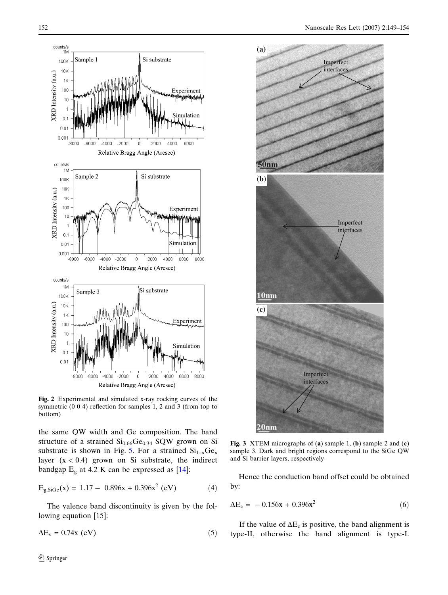<span id="page-3-0"></span>

Fig. 2 Experimental and simulated x-ray rocking curves of the symmetric (0 0 4) reflection for samples 1, 2 and 3 (from top to bottom)

the same QW width and Ge composition. The band structure of a strained  $Si<sub>0.66</sub>Ge<sub>0.34</sub>$  SQW grown on Si substrate is shown in Fig. [5](#page-4-0). For a strained  $Si_{1-x}Ge_x$ layer  $(x < 0.4)$  grown on Si substrate, the indirect bandgap  $E<sub>g</sub>$  at 4.2 K can be expressed as [[14\]](#page-5-0):

$$
E_{g,SiGe}(x) = 1.17 - 0.896x + 0.396x^{2} (eV)
$$
 (4)

The valence band discontinuity is given by the following equation [15]:

$$
\Delta E_{v} = 0.74x \text{ (eV)}\tag{5}
$$



Fig. 3 XTEM micrographs of (a) sample 1, (b) sample 2 and (c) sample 3. Dark and bright regions correspond to the SiGe QW and Si barrier layers, respectively

Hence the conduction band offset could be obtained by:

$$
\Delta E_c = -0.156x + 0.396x^2 \tag{6}
$$

If the value of  $\Delta E_c$  is positive, the band alignment is type-II, otherwise the band alignment is type-I.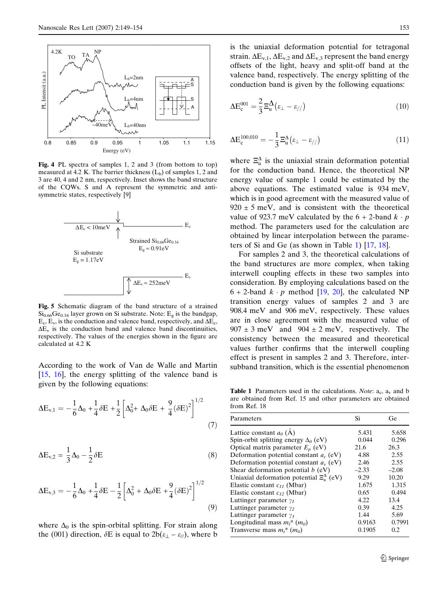<span id="page-4-0"></span>

Fig. 4 PL spectra of samples 1, 2 and 3 (from bottom to top) measured at 4.2 K. The barrier thickness  $(L_b)$  of samples 1, 2 and 3 are 40, 4 and 2 nm, respectively. Inset shows the band structure of the CQWs. S and A represent the symmetric and antisymmetric states, respectively [9]



Fig. 5 Schematic diagram of the band structure of a strained  $\overline{Si_{0.66}Ge_{0.34}}$  layer grown on Si substrate. Note: E<sub>g</sub> is the bandgap,  $E_c$ ,  $E_v$ , is the conduction and valence band, respectively, and  $\Delta E_c$ ,  $\Delta E_v$  is the conduction band and valence band discontinuities, respectively. The values of the energies shown in the figure are calculated at 4.2 K

According to the work of Van de Walle and Martin [\[15](#page-5-0), [16\]](#page-5-0), the energy splitting of the valence band is given by the following equations:

$$
\Delta E_{v,1} = -\frac{1}{6}\Delta_0 + \frac{1}{4}\delta E + \frac{1}{2}\left[\Delta_0^2 + \Delta_0 \delta E + \frac{9}{4}(\delta E)^2\right]^{1/2}
$$
\n(7)

$$
\Delta E_{v,2} = \frac{1}{3}\Delta_0 - \frac{1}{2}\delta E
$$
 (8)

$$
\Delta E_{v,3} = -\frac{1}{6}\Delta_0 + \frac{1}{4}\delta E - \frac{1}{2}\left[\Delta_0^2 + \Delta_0 \delta E + \frac{9}{4}(\delta E)^2\right]^{1/2}
$$
\n(9)

where  $\Delta_0$  is the spin-orbital splitting. For strain along the (001) direction,  $\delta E$  is equal to  $2b(\epsilon_{\perp} - \epsilon_{\parallel})$ , where b is the uniaxial deformation potential for tetragonal strain.  $\Delta E_{v,1}$ ,  $\Delta E_{v,2}$  and  $\Delta E_{v,3}$  represent the band energy offsets of the light, heavy and split-off band at the valence band, respectively. The energy splitting of the conduction band is given by the following equations:

$$
\Delta E_c^{001} = \frac{2}{3} \Xi_u^{\Delta} (\varepsilon_{\perp} - \varepsilon_{//})
$$
\n(10)

$$
\Delta E_c^{100,010} = -\frac{1}{3} \Xi_u^{\Delta} (\varepsilon_{\perp} - \varepsilon_{//})
$$
\n(11)

where  $\Xi_u^{\Delta}$  is the uniaxial strain deformation potential for the conduction band. Hence, the theoretical NP energy value of sample 1 could be estimated by the above equations. The estimated value is 934 meV, which is in good agreement with the measured value of  $920 \pm 5$  meV, and is consistent with the theoretical value of 923.7 meV calculated by the  $6 + 2$ -band  $k \cdot p$ method. The parameters used for the calculation are obtained by linear interpolation between the parameters of Si and Ge (as shown in Table 1) [[17](#page-5-0), [18](#page-5-0)].

For samples 2 and 3, the theoretical calculations of the band structures are more complex, when taking interwell coupling effects in these two samples into consideration. By employing calculations based on the  $6 + 2$ -band  $k \cdot p$  method [[19](#page-5-0), [20](#page-5-0)], the calculated NP transition energy values of samples 2 and 3 are 908.4 meV and 906 meV, respectively. These values are in close agreement with the measured value of  $907 \pm 3$  meV and  $904 \pm 2$  meV, respectively. The consistency between the measured and theoretical values further confirms that the interwell coupling effect is present in samples 2 and 3. Therefore, intersubband transition, which is the essential phenomenon

**Table 1** Parameters used in the calculations. *Note*:  $a_c$ ,  $a_v$  and b are obtained from Ref. 15 and other parameters are obtained from Ref. 18

| Parameters                                               | Si      | Ge      |
|----------------------------------------------------------|---------|---------|
| Lattice constant $a_0(A)$                                | 5.431   | 5.658   |
| Spin-orbit splitting energy $\Delta_0$ (eV)              | 0.044   | 0.296   |
| Optical matrix parameter $E_p$ (eV)                      | 21.6    | 26.3    |
| Deformation potential constant $a_c$ (eV)                | 4.88    | 2.55    |
| Deformation potential constant $a_v$ (eV)                | 2.46    | 2.55    |
| Shear deformation potential $b$ (eV)                     | $-2.33$ | $-2.08$ |
| Uniaxial deformation potential $\Xi_{\mu}^{\Delta}$ (eV) | 9.29    | 10.20   |
| Elastic constant $c_{11}$ (Mbar)                         | 1.675   | 1.315   |
| Elastic constant $c_{12}$ (Mbar)                         | 0.65    | 0.494   |
| Luttinger parameter $\gamma_I$                           | 4.22    | 13.4    |
| Luttinger parameter $\gamma_2$                           | 0.39    | 4.25    |
| Luttinger parameter $\gamma_3$                           | 1.44    | 5.69    |
| Longitudinal mass $m_l^*(m_0)$                           | 0.9163  | 0.7991  |
| Transverse mass $m_t$ <sup>*</sup> ( $m_0$ )             | 0.1905  | 0.2     |